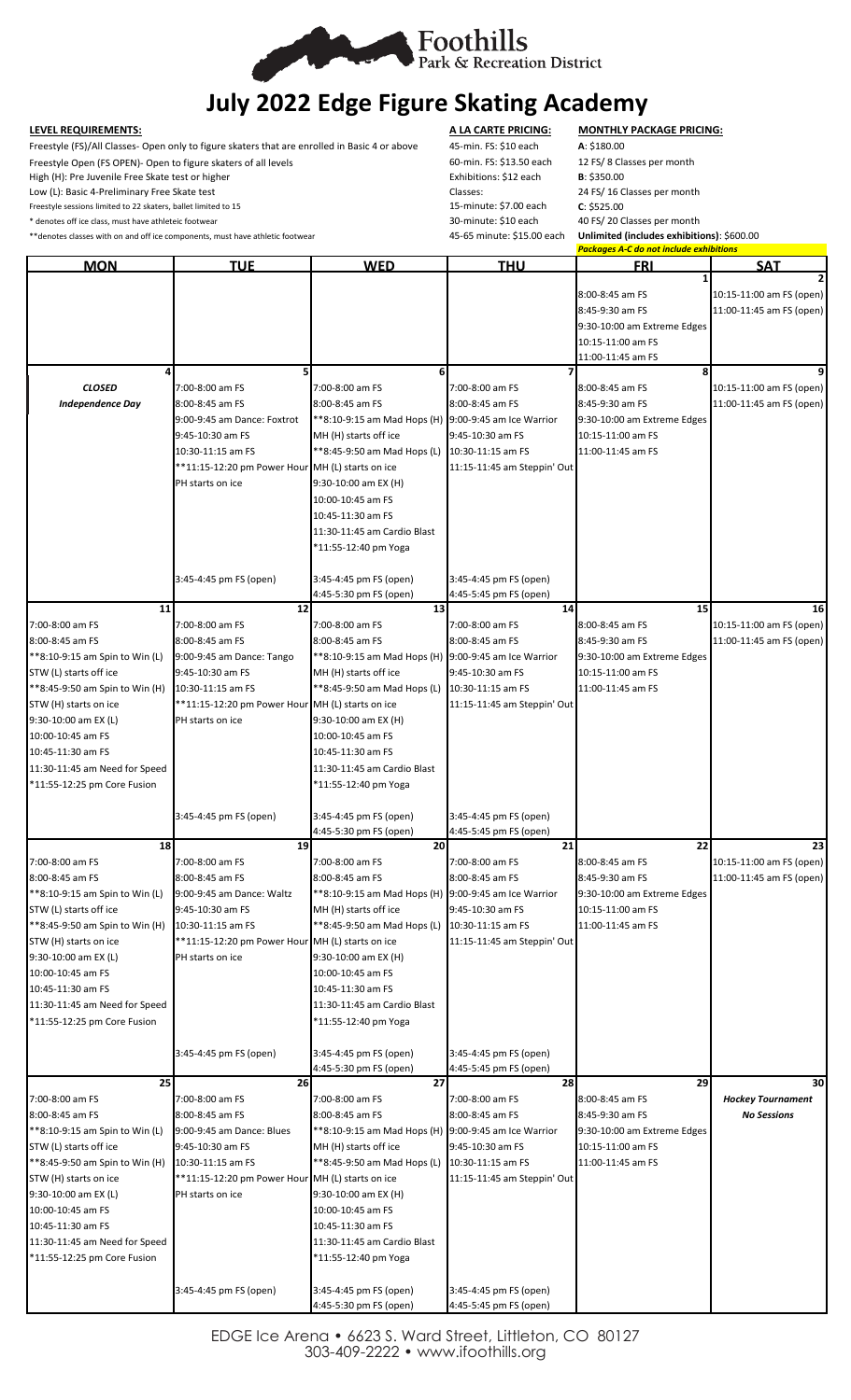

# **July 2022 Edge Figure Skating Academy**

Freestyle (FS)/All Classes- Open only to figure skaters that are enrolled in Basic 4 or above 45-min. FS: \$10 each **A**: \$180.00

Freestyle Open (FS OPEN)- Open to figure skaters of all levels 60-min. FS: \$13.50 each 12 FS/ 8 Classes per month

\* denotes off ice class, must have athleteic footwear

**LEVEL REQUIREMENTS: A LA CARTE PRICING: MONTHLY PACKAGE PRICING:** High (H): Pre Juvenile Free Skate test or higher **Exhibitions: \$12 each** B: \$350.00<br>
Low (L): Basic 4-Preliminary Free Skate test **Exhibitions: State of the Classes:** 24 FS/ 16 Classes per month Low (L): Basic 4-Preliminary Free Skate test Classes: 24 Classes: 24 Classes: 24 Classes: 24 Freestyle sessions limited to 22 skaters, ballet limited to 15 Freestyle sessions limited to 22 skaters, ballet limited to 15 15 15 15-minute: \$7.00 each **C**: \$525.00 FS 15-minute: \$7.00 each **C**: \$525.00 acch **C**: \$525.00 acch **C**: \$525.00 acch **C**: \$10 each **C**: \$10 each **C**: \$10 ea

\*\*denotes classes with on and off ice components, must have athletic footwear 45-65 minute: \$15.00 each **Unlimited (includes exhibitions)**: \$600.00

*Packages A-C do not include exhibitions*

| <b>MON</b>                                    | <b>TUE</b>                                                           | <b>WED</b>                                           | <b>THU</b>                            | <u>FRI</u>                                     | <b>SAT</b>                                     |
|-----------------------------------------------|----------------------------------------------------------------------|------------------------------------------------------|---------------------------------------|------------------------------------------------|------------------------------------------------|
|                                               |                                                                      |                                                      |                                       |                                                |                                                |
|                                               |                                                                      |                                                      |                                       | 8:00-8:45 am FS                                | 10:15-11:00 am FS (open)                       |
|                                               |                                                                      |                                                      |                                       | 8:45-9:30 am FS<br>9:30-10:00 am Extreme Edges | 11:00-11:45 am FS (open)                       |
|                                               |                                                                      |                                                      |                                       | 10:15-11:00 am FS                              |                                                |
|                                               |                                                                      |                                                      |                                       | 11:00-11:45 am FS                              |                                                |
|                                               | 5                                                                    | 6                                                    |                                       |                                                |                                                |
| <b>CLOSED</b>                                 | 7:00-8:00 am FS                                                      | 7:00-8:00 am FS                                      | 7:00-8:00 am FS                       | 8:00-8:45 am FS                                | 10:15-11:00 am FS (open)                       |
| <b>Independence Day</b>                       | 8:00-8:45 am FS                                                      | 8:00-8:45 am FS                                      | 8:00-8:45 am FS                       | 8:45-9:30 am FS                                | 11:00-11:45 am FS (open)                       |
|                                               | 9:00-9:45 am Dance: Foxtrot                                          | **8:10-9:15 am Mad Hops (H) 9:00-9:45 am Ice Warrior |                                       | 9:30-10:00 am Extreme Edges                    |                                                |
|                                               | 9:45-10:30 am FS<br>10:30-11:15 am FS                                | MH (H) starts off ice<br>**8:45-9:50 am Mad Hops (L) | 9:45-10:30 am FS<br>10:30-11:15 am FS | 10:15-11:00 am FS<br>11:00-11:45 am FS         |                                                |
|                                               | **11:15-12:20 pm Power Hour MH (L) starts on ice                     |                                                      | 11:15-11:45 am Steppin' Out           |                                                |                                                |
|                                               | PH starts on ice                                                     | 9:30-10:00 am EX (H)                                 |                                       |                                                |                                                |
|                                               |                                                                      | 10:00-10:45 am FS                                    |                                       |                                                |                                                |
|                                               |                                                                      | 10:45-11:30 am FS                                    |                                       |                                                |                                                |
|                                               |                                                                      | 11:30-11:45 am Cardio Blast                          |                                       |                                                |                                                |
|                                               |                                                                      | *11:55-12:40 pm Yoga                                 |                                       |                                                |                                                |
|                                               |                                                                      |                                                      | 3:45-4:45 pm FS (open)                |                                                |                                                |
|                                               | 3:45-4:45 pm FS (open)                                               | 3:45-4:45 pm FS (open)<br>4:45-5:30 pm FS (open)     | 4:45-5:45 pm FS (open)                |                                                |                                                |
| 11                                            | 12                                                                   | 13                                                   | 14                                    | 15                                             | 16                                             |
| 7:00-8:00 am FS                               | 7:00-8:00 am FS                                                      | 7:00-8:00 am FS                                      | 7:00-8:00 am FS                       | 8:00-8:45 am FS                                | 10:15-11:00 am FS (open)                       |
| 8:00-8:45 am FS                               | 8:00-8:45 am FS                                                      | 8:00-8:45 am FS                                      | 8:00-8:45 am FS                       | 8:45-9:30 am FS                                | 11:00-11:45 am FS (open)                       |
| **8:10-9:15 am Spin to Win (L)                | 9:00-9:45 am Dance: Tango                                            | **8:10-9:15 am Mad Hops (H) 9:00-9:45 am Ice Warrior |                                       | 9:30-10:00 am Extreme Edges                    |                                                |
| STW (L) starts off ice                        | 9:45-10:30 am FS                                                     | MH (H) starts off ice                                | 9:45-10:30 am FS                      | 10:15-11:00 am FS                              |                                                |
| **8:45-9:50 am Spin to Win (H)                | 10:30-11:15 am FS                                                    | **8:45-9:50 am Mad Hops (L)                          | 10:30-11:15 am FS                     | 11:00-11:45 am FS                              |                                                |
| STW (H) starts on ice<br>9:30-10:00 am EX (L) | **11:15-12:20 pm Power Hour MH (L) starts on ice<br>PH starts on ice | 9:30-10:00 am EX (H)                                 | 11:15-11:45 am Steppin' Out           |                                                |                                                |
| 10:00-10:45 am FS                             |                                                                      | 10:00-10:45 am FS                                    |                                       |                                                |                                                |
| 10:45-11:30 am FS                             |                                                                      | 10:45-11:30 am FS                                    |                                       |                                                |                                                |
| 11:30-11:45 am Need for Speed                 |                                                                      | 11:30-11:45 am Cardio Blast                          |                                       |                                                |                                                |
| *11:55-12:25 pm Core Fusion                   |                                                                      | *11:55-12:40 pm Yoga                                 |                                       |                                                |                                                |
|                                               |                                                                      |                                                      |                                       |                                                |                                                |
|                                               | 3:45-4:45 pm FS (open)                                               | 3:45-4:45 pm FS (open)                               | 3:45-4:45 pm FS (open)                |                                                |                                                |
| 18                                            | 19                                                                   | 4:45-5:30 pm FS (open)<br><b>20</b>                  | 4:45-5:45 pm FS (open)<br>21          | 22                                             | 23                                             |
| 7:00-8:00 am FS                               | 7:00-8:00 am FS                                                      | 7:00-8:00 am FS                                      | 7:00-8:00 am FS                       | 8:00-8:45 am FS                                | 10:15-11:00 am FS (open)                       |
| 8:00-8:45 am FS                               | 8:00-8:45 am FS                                                      | 8:00-8:45 am FS                                      | 8:00-8:45 am FS                       | 8:45-9:30 am FS                                | 11:00-11:45 am FS (open)                       |
| **8:10-9:15 am Spin to Win (L)                | 9:00-9:45 am Dance: Waltz                                            | **8:10-9:15 am Mad Hops (H) 9:00-9:45 am Ice Warrior |                                       | 9:30-10:00 am Extreme Edges                    |                                                |
| STW (L) starts off ice                        | 9:45-10:30 am FS                                                     | MH (H) starts off ice                                | 9:45-10:30 am FS                      | 10:15-11:00 am FS                              |                                                |
| **8:45-9:50 am Spin to Win (H)                | 10:30-11:15 am FS                                                    | **8:45-9:50 am Mad Hops (L)                          | 10:30-11:15 am FS                     | 11:00-11:45 am FS                              |                                                |
| STW (H) starts on ice                         | **11:15-12:20 pm Power Hour MH (L) starts on ice                     |                                                      | 11:15-11:45 am Steppin' Out           |                                                |                                                |
| 9:30-10:00 am EX (L)                          | PH starts on ice                                                     | 9:30-10:00 am EX (H)                                 |                                       |                                                |                                                |
| 10:00-10:45 am FS<br>10:45-11:30 am FS        |                                                                      | 10:00-10:45 am FS<br>10:45-11:30 am FS               |                                       |                                                |                                                |
| 11:30-11:45 am Need for Speed                 |                                                                      | 11:30-11:45 am Cardio Blast                          |                                       |                                                |                                                |
| *11:55-12:25 pm Core Fusion                   |                                                                      | *11:55-12:40 pm Yoga                                 |                                       |                                                |                                                |
|                                               |                                                                      |                                                      |                                       |                                                |                                                |
|                                               | 3:45-4:45 pm FS (open)                                               | 3:45-4:45 pm FS (open)                               | 3:45-4:45 pm FS (open)                |                                                |                                                |
|                                               |                                                                      | 4:45-5:30 pm FS (open)                               | 4:45-5:45 pm FS (open)                |                                                |                                                |
| 25                                            | 26                                                                   | $\overline{27}$                                      | 28                                    | 29                                             | 30                                             |
| 7:00-8:00 am FS<br>8:00-8:45 am FS            | 7:00-8:00 am FS<br>8:00-8:45 am FS                                   | 7:00-8:00 am FS<br>8:00-8:45 am FS                   | 7:00-8:00 am FS<br>8:00-8:45 am FS    | 8:00-8:45 am FS<br>8:45-9:30 am FS             | <b>Hockey Tournament</b><br><b>No Sessions</b> |
| **8:10-9:15 am Spin to Win (L)                | 9:00-9:45 am Dance: Blues                                            | **8:10-9:15 am Mad Hops (H) 9:00-9:45 am Ice Warrior |                                       | 9:30-10:00 am Extreme Edges                    |                                                |
| STW (L) starts off ice                        | 9:45-10:30 am FS                                                     | MH (H) starts off ice                                | 9:45-10:30 am FS                      | 10:15-11:00 am FS                              |                                                |
| **8:45-9:50 am Spin to Win (H)                | 10:30-11:15 am FS                                                    | **8:45-9:50 am Mad Hops (L) 10:30-11:15 am FS        |                                       | 11:00-11:45 am FS                              |                                                |
| STW (H) starts on ice                         | **11:15-12:20 pm Power Hour MH (L) starts on ice                     |                                                      | 11:15-11:45 am Steppin' Out           |                                                |                                                |
| 9:30-10:00 am EX (L)                          | PH starts on ice                                                     | 9:30-10:00 am EX (H)                                 |                                       |                                                |                                                |
| 10:00-10:45 am FS                             |                                                                      | 10:00-10:45 am FS                                    |                                       |                                                |                                                |
| 10:45-11:30 am FS                             |                                                                      | 10:45-11:30 am FS                                    |                                       |                                                |                                                |
| 11:30-11:45 am Need for Speed                 |                                                                      | 11:30-11:45 am Cardio Blast                          |                                       |                                                |                                                |
| *11:55-12:25 pm Core Fusion                   |                                                                      | *11:55-12:40 pm Yoga                                 |                                       |                                                |                                                |
|                                               | 3:45-4:45 pm FS (open)                                               | 3:45-4:45 pm FS (open)                               | 3:45-4:45 pm FS (open)                |                                                |                                                |
|                                               |                                                                      | 4:45-5:30 pm FS (open)                               | 4:45-5:45 pm FS (open)                |                                                |                                                |